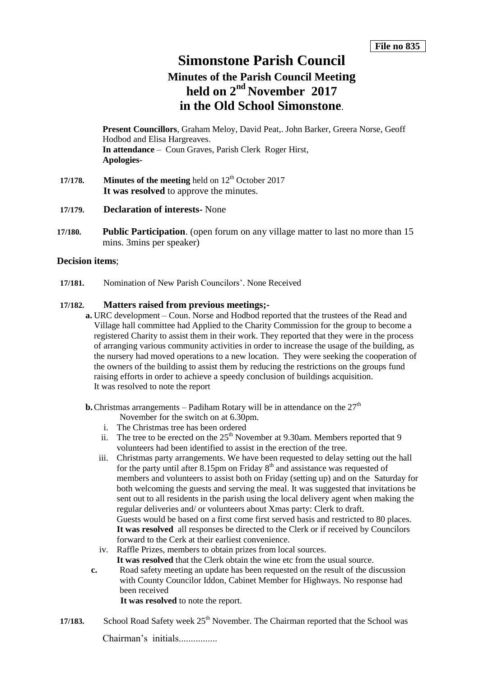## **Simonstone Parish Council**

# **Minutes of the Parish Council Meeting held on 2 nd November 2017 in the Old School Simonstone**.

**Present Councillors**, Graham Meloy, David Peat,. John Barker, Greera Norse, Geoff Hodbod and Elisa Hargreaves. **In attendance** – Coun Graves, Parish Clerk Roger Hirst, **Apologies-**

- **17/178. Minutes of the meeting** held on 12<sup>th</sup> October 2017 **It was resolved** to approve the minutes.
- **17/179. Declaration of interests-** None
- **17/180. Public Participation**. (open forum on any village matter to last no more than 15 mins. 3mins per speaker)

## **Decision items**;

**17/181.** Nomination of New Parish Councilors'. None Received

#### **17/182. Matters raised from previous meetings;-**

- **a.** URC development Coun. Norse and Hodbod reported that the trustees of the Read and Village hall committee had Applied to the Charity Commission for the group to become a registered Charity to assist them in their work. They reported that they were in the process of arranging various community activities in order to increase the usage of the building, as the nursery had moved operations to a new location. They were seeking the cooperation of the owners of the building to assist them by reducing the restrictions on the groups fund raising efforts in order to achieve a speedy conclusion of buildings acquisition. It was resolved to note the report
- **b.** Christmas arrangements Padiham Rotary will be in attendance on the  $27<sup>th</sup>$ 
	- November for the switch on at 6.30pm.
	- i. The Christmas tree has been ordered
	- ii. The tree to be erected on the  $25<sup>th</sup>$  November at 9.30am. Members reported that 9 volunteers had been identified to assist in the erection of the tree.
	- iii. Christmas party arrangements. We have been requested to delay setting out the hall for the party until after 8.15pm on Friday  $8<sup>th</sup>$  and assistance was requested of members and volunteers to assist both on Friday (setting up) and on the Saturday for both welcoming the guests and serving the meal. It was suggested that invitations be sent out to all residents in the parish using the local delivery agent when making the regular deliveries and/ or volunteers about Xmas party: Clerk to draft. Guests would be based on a first come first served basis and restricted to 80 places. **It was resolved** all responses be directed to the Clerk or if received by Councilors forward to the Cerk at their earliest convenience.
	- iv. Raffle Prizes, members to obtain prizes from local sources. It was resolved that the Clerk obtain the wine etc from the usual source.
	- **c.** Road safety meeting an update has been requested on the result of the discussion with County Councilor Iddon, Cabinet Member for Highways. No response had been received

 **It was resolved** to note the report.

17/183. School Road Safety week 25<sup>th</sup> November. The Chairman reported that the School was

Chairman's initials................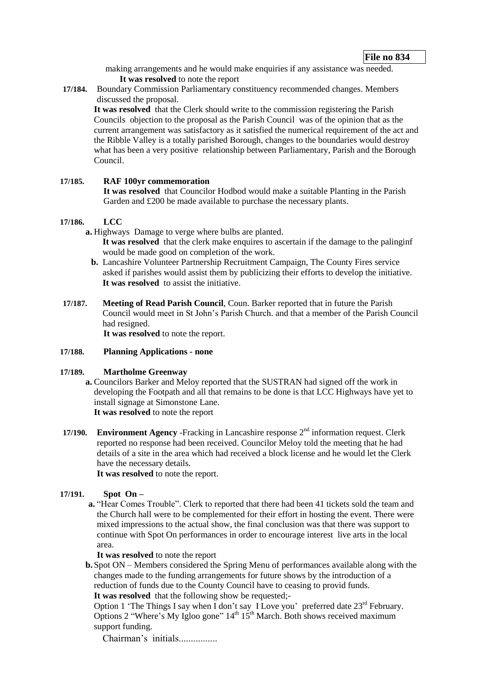making arrangements and he would make enquiries if any assistance was needed. **It was resolved** to note the report

**17/184.** Boundary Commission Parliamentary constituency recommended changes. Members discussed the proposal.

**It was resolved** that the Clerk should write to the commission registering the Parish Councils objection to the proposal as the Parish Council was of the opinion that as the current arrangement was satisfactory as it satisfied the numerical requirement of the act and the Ribble Valley is a totally parished Borough, changes to the boundaries would destroy what has been a very positive relationship between Parliamentary, Parish and the Borough Council.

#### **17/185. RAF 100yr commemoration**

**It was resolved** that Councilor Hodbod would make a suitable Planting in the Parish Garden and £200 be made available to purchase the necessary plants.

#### **17/186. LCC**

- **a.** Highways Damage to verge where bulbs are planted. **It was resolved** that the clerk make enquires to ascertain if the damage to the palinginf would be made good on completion of the work.
	- **b.** Lancashire Volunteer Partnership Recruitment Campaign, The County Fires service asked if parishes would assist them by publicizing their efforts to develop the initiative. **It was resolved** to assist the initiative.
- **17/187. Meeting of Read Parish Council**, Coun. Barker reported that in future the Parish Council would meet in St John's Parish Church. and that a member of the Parish Council had resigned.

**It was resolved** to note the report.

#### **17/188. Planning Applications - none**

### **17/189. Martholme Greenway**

- **a.** Councilors Barker and Meloy reported that the SUSTRAN had signed off the work in developing the Footpath and all that remains to be done is that LCC Highways have yet to install signage at Simonstone Lane. **It was resolved** to note the report
- **17/190. Environment Agency** -Fracking in Lancashire response 2<sup>nd</sup> information request. Clerk reported no response had been received. Councilor Meloy told the meeting that he had details of a site in the area which had received a block license and he would let the Clerk have the necessary details.

**It was resolved** to note the report.

### **17/191. Spot On –**

**a.** "Hear Comes Trouble". Clerk to reported that there had been 41 tickets sold the team and the Church hall were to be complemented for their effort in hosting the event. There were mixed impressions to the actual show, the final conclusion was that there was support to continue with Spot On performances in order to encourage interest live arts in the local area.

#### **It was resolved** to note the report

**b.** Spot ON – Members considered the Spring Menu of performances available along with the changes made to the funding arrangements for future shows by the introduction of a reduction of funds due to the County Council have to ceasing to provid funds. **It was resolved** that the following show be requested;-

Option 1 'The Things I say when I don't say I Love you' preferred date  $23<sup>rd</sup>$  February. Options 2 "Where's My Igloo gone"  $14<sup>th</sup> 15<sup>th</sup>$  March. Both shows received maximum support funding.

Chairman's initials................